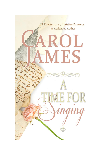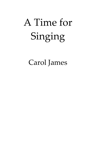# A Time for Singing

Carol James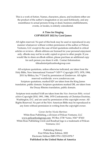This is a work of fiction. Names, characters, places, and incidents either are the product of the author's imagination or are used fictitiously, and any resemblance to actual persons living or dead, business establishments, events, or locales, is entirely coincidental.

#### **A Time for Singing COPYRIGHT 2022 by Carol James**

All rights reserved. No part of this book may be used or reproduced in any manner whatsoever without written permission of the author or Pelican Ventures, LLC except in the case of brief quotations embodied in critical articles or reviews. eBook editions are licensed for your personal enjoyment only. eBooks may not be re-sold, copied or given to other people. If you would like to share an eBook edition, please purchase an additional copy for each person you share it with. Contact Information: titleadmin@pelicanbookgroup.com

All scripture quotations, unless otherwise indicated, are taken from the Holy Bible, New International Version<sup>(R),</sup> NIV<sup>(R)</sup>, Copyright 1973, 1978, 1984, 2011 by Biblica, Inc.<sup>™</sup> Used by permission of Zondervan. All rights reserved worldwide. www.zondervan.com Scripture quotations, marked KJV are taken from the King James translation, public domain. Scripture quotations marked DR, are taken from the Douay Rheims translation, public domain.

Scripture texts marked NAB are taken from the *New American Bible, revised edition* Copyright 2010, 1991, 1986, 1970 Confraternity of Christian Doctrine, Washington, D.C. and are used by permission of the copyright owner. All Rights Reserved. No part of the New American Bible may be reproduced in any form without permission in writing from the copyright owner.

Cover Art by *Nicola Martinez*

White Rose Publishing, a division of Pelican Ventures, LLC [www.pelicanbookgroup.com](http://www.pelicanbookgroup.com/) PO Box 1738 \*Aztec, NM \* 87410 White Rose Publishing Circle and Rosebud logo is a trademark of Pelican Ventures, LLC

> Publishing History First White Rose Edition, 2022 Electronic Edition ISBN 978-1-5223-0378-7 **Published in the United States of America**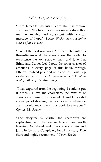# *What People are Saying*

'Carol James tells beautiful stores that will capture your heart. She has quickly become a go-to author for me, reliable and consistent with a clear message of hope.' *Stacey Weeks, award-winning author of In Too Deep.*

'One of the best romances I've read. The author's three-dimensional characters allow the reader to experience the joy, sorrow, pain, and love that Ethne and Daniel feel. I rode the roller coaster of emotions in every page of this book, through Ethne's troubled past and with each cautious step as she learned to trust. A five-star novel.' *Kathleen Neely, author of The Street Singer*

'I was captured from the beginning. I couldn't put it down... I love the characters, the mixture of serious and humorous moments. Carol James did a great job of showing that God loves us where we are. I would recommend this book to everyone.' *Cynthia M., Reader*

'The storyline is terrific, the characters are captivating, and the lessons learned are worth learning. Go ahead and break every chain and jump in feet first. Completely loved this story. Five Stars and highly recommend.' *Dawn, Reader*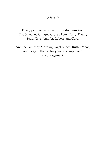## *Dedication*

To my partners in crime... Iron sharpens iron. The Suwanee Critique Group: Tony, Patty, Dawn, Suzy, Cele, Jennifer, Robert, and Gord.

And the Saturday Morning Bagel Bunch: Ruth, Donna, and Peggy. Thanks for your wise input and encouragement.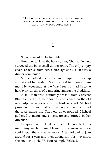#### "There is a time for everything, and a season for every activity under the heavens." ~Ecclesiastes 3:1

# **1**

So, who would it be tonight?

From her table in the back corner, Charlee Bennett surveyed the inn's small dining room. The only empty chair sat across from her, a sure sign she'd soon have a dinner companion.

She smoothed the white linen napkin in her lap and sipped her water. Over the past few years, these monthly weekends at the Wayfarer Inn had become her favorites, times of pampering among the plodding.

A tall man who definitely wasn't from Crescent Bluff stepped into the doorway and leaned on the old oak pulpit now serving as the hostess stand. Michael presented his best maître d' smile and then consulted the reservations list. The new diner nodded. Michael gathered a menu and silverware and turned in her direction.

Perspiration prickled her face. Oh, no. Not this man. Anyone but him. Please...not a musician. She could spot them a mile away. After following Jake around for a year and then dating him for two more, she knew the look. PR. Painstakingly Relaxed.

1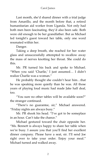Last month, she'd shared dinner with a trial judge from Amarillo, and the month before that, a retired humanitarian aid worker from Uganda. Not only had both men been fascinating, they'd also been safe. Both were old enough to be her grandfather. But as Michael led tonight's guest toward her table, only one word resonated within her.

Danger.

Taking a deep breath, she reached for her water glass and unsuccessfully attempted to swallow away the mass of nerves knotting her throat. She could do this.

Mr. PR turned his back and spoke to Michael. "When you said 'Charlie,' I just assumed... I didn't realize Charlie was a woman.'

He probably thought she couldn't hear him...that he was speaking more quietly than he was. All those years of playing loud music had made Jake half deaf, too.

'You sure no other tables will be available soon?' the stranger continued.

'There's no guarantee, sir,' Michael answered. 'Friday nights are always busy.'

Mr. PR shook his head. 'I've got to be someplace in an hour. Can't take the chance.'

Michael gestured toward the chair opposite her. 'Ms. Bennett is always happy to share her table when we're busy. I assure you that you'll find her excellent dinner company. Please have a seat, sir. I'll send Joe right over to take your order. Enjoy your meal.' Michael turned and walked away.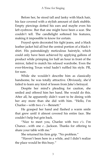Before her, he stood tall and lanky with black hair, his face covered with a stylish amount of dark stubble. Empty piercings dotted his ears and maybe even his left eyebrow. But that one might have been a scar. She couldn't tell. The candlelight softened his features, making it impossible to know for certain.

Frayed spots decorated his tight jeans, and a black leather jacket hid all but the central portion of a black tshirt. His painstakingly meticulous hairstyle, which could only have been achieved by applying gallons of product while primping for half an hour in front of the mirror, failed to match his relaxed wardrobe. Even the ever-blowing Texas wind hadn't ruffled his style. PR, for sure.

While she wouldn't describe him as classically handsome, he was totally attractive. Obviously, she'd failed to learn any kind of lesson from Jake's betrayal.

Despite her mind's pleading for caution, she smiled and offered him her hand. She would do this. After all, he apparently didn't want to be dining with her any more than she did with him. 'Hello, I'm Charlee—with two *e's*—Bennett.'

He grasped her hand and flashed a warm smile that grew until it almost covered his entire face. She couldn't help but grin back.

'Nice to meet you, Charlee with two *e's*. I'm Chance...with one *e...*Jackson. Thanks for offering to share your table with me.'

She returned his firm grip. "No problem."

'Haven't been here in a while, and I didn't realize the place would be this busy.'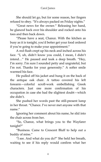She should let go, but for some reason, her fingers refused to obey. 'It's always packed on Friday nights.'

'Great news for the owner.' Releasing her hand, he glanced back over his shoulder and rocked onto his toes and then back down.

'Please have a seat, Chance. With the kitchen as busy as it is tonight, you'd better get your food ordered if you're going to make your appointment.'

A red flush crept up his neck and inched across his face. 'I, uh, didn't know you could, I mean, I didn't intend..." He paused and took a deep breath. "Hey, I'm sorry. I'm sure I sounded petty and ungrateful, but I'm not. Thanks for your generosity." A softer smile warmed his face.

He pulled off his jacket and hung it on the back of the antique oak chair. A tattoo covered his left forearm—colorful scroll-work embellishing Greek characters. Just one more confirmation of his occupation in case she had the slightest doubt—which she didn't.

She pushed her words past the still-present lump in her throat. 'Chance. I've never met anyone with that name.'

Ignoring her comment about his name, he slid into the chair across from her.

'So, Chance, what brings you to the Wayfarer tonight?'

'Business. Came to Crescent Bluff to help out a buddy of mine.'

'I see. And what do you do?' She held her breath, waiting to see if his reply would confirm what her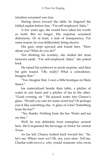intuition screamed was true.

Staring down toward the table, he fingered the folded napkin before him. 'I'm self-employed. Sales.'

A few years ago, she would have taken his words as truth. But no longer. His response screamed dishonesty. Or at least, a lack of transparency. For some reason, he was deliberately being elusive.

His gaze crept upward and found hers. 'How about you? What do you do?'

Not shirking his scrutiny, she smiled her most innocent smile. 'I'm self-employed. Sales,' she poked back.

He raised his eyebrows in mock surprise, and then his grin teased. 'Oh, really? What a coincidence. Imagine that.'

'Yes. Imagine that. I own a little boutique on Main Street.'

Joe materialized beside their table, a pitcher of water in one hand and a pitcher of tea in the other. 'Good evening, sir.' He poured water into Chance's glass. 'Would you care for some sweet tea? Or perhaps you'd like something else. A glass of wine? Something from the bar?'

'No, thanks. Nothing from the bar. Water and tea are fine."

Well, he was definitely from someplace around here. He'd requested the beverage of choice for central Texas.

As Joe left, Chance looked back toward her. 'So, let's see. Where were we? Oh, yes, your store. Tell me, Charlee-with-two-e's, why would someone who owns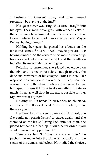## Carol James

a business in Crescent Bluff, and lives here—I presume—be staying at the inn?'

Her gaze never wavering, she stared straight into his eyes. They were dove gray with amber flecks. 'I think you may have jumped to an incorrect conclusion. I don't believe I ever said I was staying here. Maybe I'm just having dinner.'

Holding her gaze, he placed his elbows on the table and leaned forward. 'Well, maybe you are. Just having dinner.' As the corners of his mouth curved up, his eyes sparkled in the candlelight, and the needle on her attractiveness meter inched higher.

Refusing to surrender, she placed her elbows on the table and leaned in just close enough to enjoy the delicious earthiness of his cologne. 'But I'm not.' Her response was barely above a whisper. 'I stay here one weekend a month when I balance the books for my boutique. I figure if I have to do something I hate so much, I may as well do it in the nicest possible setting. My own reward system.'

Holding up his hands in surrender, he chuckled, and the amber flecks danced. 'I have to admit, I like the way you think.'

Her heart began to veer down a familiar road, one she could not permit herself to travel again, and she stomped on the brake. Easing back into her chair, she placed her hands in her lap. 'You'd better order if you want to make that appointment."

'Guess so, hadn't I? Excuse me a minute.' He pushed the menu into the circle of candlelight in the center of the damask tablecloth. He studied the choices,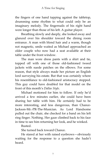the fingers of one hand tapping against the tabletop, drumming some rhythm to what could only be an imaginary melody. The fingernails of his right hand were longer than those of his left. A guitar player.

Breathing slowly and deeply, she looked away and glanced over his shoulder toward the dining room entrance. A man with blond hair and a warm, though not magnetic, smile waited as Michael approached an older couple who now had a seat available at their table under the front window.

The man wore dress pants with a shirt and tie, topped off with one of those old-fashioned tweed jackets with suede patches on the elbows. For some reason, that style always made her picture an English lord surveying his estate. But that was certainly where his resemblance to old-fashioned aristocracy stopped. This guy could have doubled for that model on the front of this month's *Dallas Style*.

Michael motioned for him to follow. If only he'd arrived a few minutes earlier, she could have been sharing her table with him. He certainly had to be more interesting, and less dangerous, than Chance-Jackson-Mr.-PR-The-Musician. As Lord Handsome pulled out the chair, she checked for a band on his left ring finger. Nothing. Her gaze climbed back to his face in time to see him returning her look, and he winked.

Busted.

She turned back toward Chance.

He stared at her with raised eyebrows—obviously waiting for the response to a question she hadn't heard.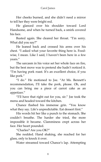Her cheeks burned, and she didn't need a mirror to tell her they were bright red.

He glanced over his shoulder toward Lord Handsome, and when he turned back, a smirk covered his face.

Busted again. She cleared her throat. 'I'm sorry. What did you say?"

He leaned back and crossed his arms over his chest. 'I asked what your favorite thing here is. Foodwise, I mean. Like I said, I haven't been here in a few years.'

The sarcasm in his voice set her whole face on fire, but the best move was to pretend she hadn't noticed it. 'I'm having pork roast. It's an excellent choice, if you like pork.'

'I do.' He motioned to Joe. 'At Ms. Bennett's recommendation, I'll take the pork, please. Oh, and you can bring me a piece of carrot cake as an appetizer.'

'I'll have that right out for you, sir.' Joe took the menu and headed toward the kitchen.

Chance flashed his immense grin. 'You know what they say. Life's unpredictable. Eat dessert first."

His words hit her like a punch to the stomach. She couldn't breathe. The harder she tried, the more impossible it became. Clamminess crept across her face. Her heart pounded.

'Charlee? Are you OK?'

She nodded. Hand shaking, she reached for her glass, only to knock it over.

Water streamed toward Chance's lap. Attempting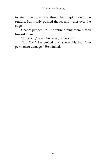to stem the flow, she threw her napkin onto the puddle. But it only pushed the ice and water over the edge

Chance jumped up. The entire dining room turned toward them.

"I'm sorry," she whispered, "so sorry."

'It's OK.' He smiled and shook his leg. 'No permanent damage.' He winked.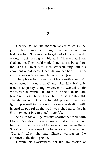## Carol James

**2**

Charlee sat on the maroon velvet settee in the parlor, her stomach churning from having eaten so fast. She hadn't been able to get out of there quickly enough. Just sharing a table with Chance had been challenging. Then she'd made things worse by spilling ice water all over him. How embarrassing! But his comment about dessert had drawn her back in time, and she was sitting across the table from Jake.

That phrase had been one of his favorites. Yet he'd never actually done it as Chance did. Jake had only used it to justify doing whatever he wanted to do whenever he wanted to do it. But she'd dealt with Jake's rejection. She was over him...or so she thought. The dinner with Chance tonight proved otherwise. Ignoring something was not the same as dealing with it. And as painful as the truth was, she had to face it. She may never be completely over Jake.

She'd made a huge mistake sharing her table with Chance. She should have manufactured an excuse and had her dinner delivered to her room and eaten there. She should have obeyed the inner voice that screamed 'Danger' when she saw Chance waiting in the entrance to the dining room.

Despite his evasiveness, her first impression of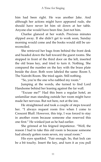him had been right. He was another Jake. And although her actions might have appeared rude, she should have never let him sit down at her table. Anyone else would have been fine. Just not him.

Charlee glanced at her watch. Precious minutes slipped away. If she didn't get to work soon, Sunday morning would come and the books would still be unreconciled.

She retrieved her bags from behind the front desk and headed down the hall toward the guest rooms. She stopped in front of the third door on the left, inserted the old brass key, and tried to turn it. Nothing. She compared the number on the key with the brass plate beside the door. Both were labeled the same: Room 5, The Nairobi Room. She tried again. Still nothing.

'So, you're the one who nabbed my room.'

Jumping at the words, she turned to find Lord Handsome behind her leaning against the far wall.

'Excuse me?' Had this been a regular hotel, an unfamiliar man standing outside her room might have made her nervous. But not here, not at the inn.

He straightened and took a couple of steps toward her. 'I always request room five when I come to Crescent Bluff. However, this trip, I was forced to stay in another room because someone else reserved this one first.' He winked just as he had earlier.

She grinned at his feigned impatience. 'Well, the reason I had to take this old room is because someone had already gotten room seven, my usual room.'

His eyes sparkled. 'Fair enough. So, that lock can be a bit touchy. Insert the key, and turn it as you pull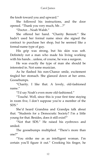the knob toward you and upward.'

She followed his instructions, and the door opened. "Thank you very much, Mr...?"

"Doctor...Noah Walsh."

She offered her hand. 'Charity Bennett.' She hadn't used her formal name since she signed the contract to purchase her shop, but he seemed like a formal-name type of guy.

His grip was strong, but his skin was soft. Definitely not a man who made his living working with his hands...unless, of course, he was a surgeon.

He was exactly the type of man she should be interested in. Not some musician.

As he flashed his non-Chance smile, excitement tingled her stomach. She glanced down at her arms. Goosebumps.

'Charity. I like that. A lovely, old-fashioned name.'

'I'd say Noah's even more old-fashioned.'

'Touché. Well, since this is your first time staying in room five, I don't suppose you're a member of the SDS.'

She'd heard Grandma and Grandpa talk about that. 'Students for a Democratic Society? I'm a little young for that. Besides, does it still exist?'

'Not that SDS.' He raised his eyebrows and smiled.

The goosebumps multiplied. 'There's more than one?'

'You strike me as an intelligent woman. I'm certain you'll figure it out.' Crooking his finger, he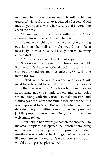motioned her closer. 'Your room is full of hidden treasure.' He spoke in an exaggerated whisper. 'Good luck on your quest, Miss Charity. Oh, and be certain to check the desk.'

'Thank you for your help with the key.' She answered his whisper with one of her own.

He made a slight bow. 'To have left you standing out here in the hall all night would have been massively un-chivalrous. Will I see you in the morning at breakfast?'

'Probably. Good night, and thanks again.'

She stepped into the room and turned on the light. She wouldn't have exactly described the trinkets scattered around the room as treasure. Oh well, one man's trash<

Packed with souvenirs Colonel and Mrs. Clark must have brought back with them from their safaris and other overseas trips, 'The Nairobi Room' bore an appropriate name. Its dark brown and green color scheme along with the various animal skin rugs and statues gave the room a masculine feel. No wonder this room appealed to Noah. But with its white linens and delicate mosquito netting canopy, the bed provided just the proper balance of femininity to make the room welcoming to her.

After setting her overnight bag on the chest next to the small fireplace, she opened the French doors facing onto a small private patio. The primitive outdoor furniture was made of bent twigs, not white wicker like room seven. If tomorrow's weather was warm, this would be the perfect place to work.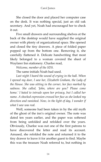She closed the door and placed her computer case on the desk. It was nothing special, just an old oak secretary. And yet, Noah had encouraged her to check it out.

Five small drawers and surrounding shelves at the back of the desktop would have supplied the original owner with plenty of organizational space. She opened and closed the tiny drawers. A piece of folded paper popped up from the bottom one. Removing it, she carefully flattened it. Delicate handwriting that most likely belonged to a woman covered the sheet of Wayfarer Inn stationery. Charlee read,

*Welcome, member of the SDS.*

The same initials Noah had used.

*Last night I heard the sound of crying in the hall. When I opened my door, I saw her, Elizabeth Graham, the Lady of the House. She was sitting in the corner, her face marked by sadness. She called, 'John, where are you? Please come home.' I hated to intrude upon her privacy, but I called her name. A shocked expression crossed her face as she looked my direction and vanished. Now, in the light of day, I wonder if what I saw was real.*

Well, someone had been taken in by the old myth of the ghost of the inn's original owner. The note was dated ten years earlier, and the paper was softened from being unfolded and refolded over the years. Obviously, Charlee was not one of the first patrons to have discovered the letter and read its account. Amused, she refolded the note and returned it to the tiny drawer to leave it for another guest to find. Maybe this was the treasure Noah referred to, but nothing in